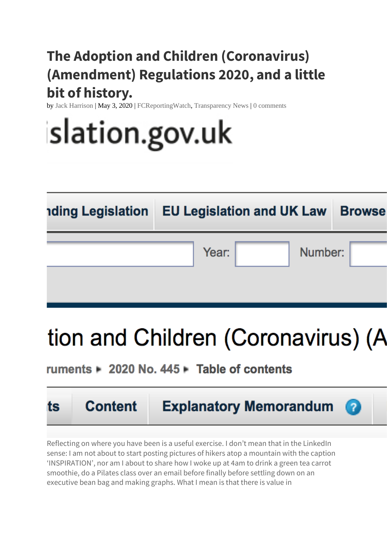## **The Adoption and Children (Coronavirus) (Amendment) Regulations 2020, and a little bit of history.**

by Jack [Harrison](http://www.transparencyproject.org.uk/author/jharrison/) | May 3, 2020 | [FCReportingWatch,](http://www.transparencyproject.org.uk/category/fcreportingwatch/) [Transparency](http://www.transparencyproject.org.uk/category/transparencynews/) News | 0 [comments](http://www.transparencyproject.org.uk/the-adoption-and-children-coronavirus-amendment-regulations-2020-and-a-little-bit-of-history/#respond)

# slation.gov.uk

| <b>nding Legislation EU Legislation and UK Law Browse</b> |  |
|-----------------------------------------------------------|--|
| Number:<br>Year:                                          |  |
|                                                           |  |

# tion and Children (Coronavirus) (A

### ruments 2020 No. 445 Fable of contents



Reflecting on where you have been is a useful exercise. I don't mean that in the LinkedIn sense: I am not about to start posting pictures of hikers atop a mountain with the caption 'INSPIRATION', nor am I about to share how I woke up at 4am to drink a green tea carrot smoothie, do a Pilates class over an email before finally before settling down on an executive bean bag and making graphs. What I mean is that there is value in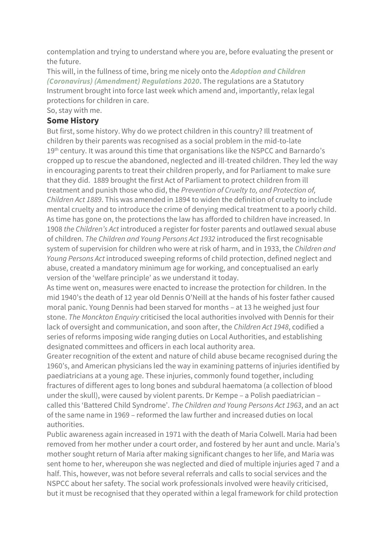contemplation and trying to understand where you are, before evaluating the present or the future.

This will, in the fullness of time, bring me nicely onto the *[Adoption](http://www.legislation.gov.uk/uksi/2020/445/contents/made) and Children [\(Coronavirus\)](http://www.legislation.gov.uk/uksi/2020/445/contents/made) (Amendment) Regulations 2020***.** The regulations are a Statutory Instrument brought into force last week which amend and, importantly, relax legal protections for children in care.

So, stay with me.

#### **Some History**

But first, some history. Why do we protect children in this country? Ill treatment of children by their parents was recognised as a social problem in the mid-to-late 19<sup>th</sup> century. It was around this time that organisations like the NSPCC and Barnardo's cropped up to rescue the abandoned, neglected and ill-treated children. They led the way in encouraging parents to treat their children properly, and for Parliament to make sure that they did. 1889 brought the first Act of Parliament to protect children from ill treatment and punish those who did, the *Prevention of Cruelty to, and Protection of, Children Act 1889*. This was amended in 1894 to widen the definition of cruelty to include mental cruelty and to introduce the crime of denying medical treatment to a poorly child. As time has gone on, the protections the law has afforded to children have increased. In 1908 *the Children's Act* introduced a register for foster parents and outlawed sexual abuse of children. *The Children and Young Persons Act 1932* introduced the first recognisable system of supervision for children who were at risk of harm, and in 1933, the *Children and Young Persons Act* introduced sweeping reforms of child protection, defined neglect and abuse, created a mandatory minimum age for working, and conceptualised an early version of the 'welfare principle' as we understand it today.

As time went on, measures were enacted to increase the protection for children. In the mid 1940's the death of 12 year old Dennis O'Neill at the hands of his foster father caused moral panic. Young Dennis had been starved for months – at 13 he weighed just four stone. *The Monckton Enquiry* criticised the local authorities involved with Dennis for their lack of oversight and communication, and soon after, the *Children Act 1948*, codified a series of reforms imposing wide ranging duties on Local Authorities, and establishing designated committees and officers in each local authority area.

Greater recognition of the extent and nature of child abuse became recognised during the 1960's, and American physicians led the way in examining patterns of injuries identified by paediatricians at a young age. These injuries, commonly found together, including fractures of different ages to long bones and subdural haematoma (a collection of blood under the skull), were caused by violent parents. Dr Kempe – a Polish paediatrician – called this 'Battered Child Syndrome'. *The Children and Young Persons Act 1963*, and an act of the same name in 1969 – reformed the law further and increased duties on local authorities.

Public awareness again increased in 1971 with the death of Maria Colwell. Maria had been removed from her mother under a court order, and fostered by her aunt and uncle. Maria's mother sought return of Maria after making significant changes to her life, and Maria was sent home to her, whereupon she was neglected and died of multiple injuries aged 7 and a half. This, however, was not before several referrals and calls to social services and the NSPCC about her safety. The social work professionals involved were heavily criticised, but it must be recognised that they operated within a legal framework for child protection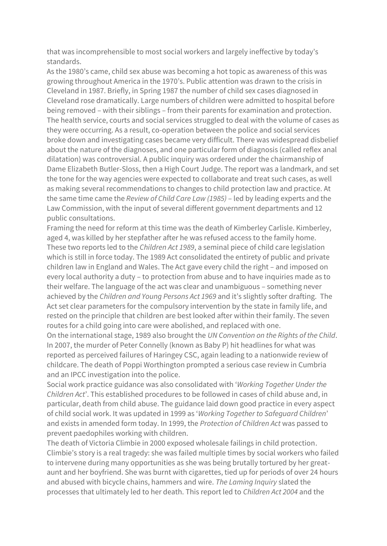that was incomprehensible to most social workers and largely ineffective by today's standards.

As the 1980's came, child sex abuse was becoming a hot topic as awareness of this was growing throughout America in the 1970's. Public attention was drawn to the crisis in Cleveland in 1987. Briefly, in Spring 1987 the number of child sex cases diagnosed in Cleveland rose dramatically. Large numbers of children were admitted to hospital before being removed – with their siblings – from their parents for examination and protection. The health service, courts and social services struggled to deal with the volume of cases as they were occurring. As a result, co-operation between the police and social services broke down and investigating cases became very difficult. There was widespread disbelief about the nature of the diagnoses, and one particular form of diagnosis (called reflex anal dilatation) was controversial. A public inquiry was ordered under the chairmanship of Dame Elizabeth Butler-Sloss, then a High Court Judge. The report was a landmark, and set the tone for the way agencies were expected to collaborate and treat such cases, as well as making several recommendations to changes to child protection law and practice. At the same time came the *Review of Child Care Law (1985)* – led by leading experts and the Law Commission, with the input of several different government departments and 12 public consultations.

Framing the need for reform at this time was the death of Kimberley Carlisle. Kimberley, aged 4, was killed by her stepfather after he was refused access to the family home. These two reports led to the *Children Act 1989*, a seminal piece of child care legislation which is still in force today. The 1989 Act consolidated the entirety of public and private children law in England and Wales. The Act gave every child the right – and imposed on every local authority a duty – to protection from abuse and to have inquiries made as to their welfare. The language of the act was clear and unambiguous – something never achieved by the *Children and Young Persons Act 1969* and it's slightly softer drafting. The Act set clear parameters for the compulsory intervention by the state in family life, and rested on the principle that children are best looked after within their family. The seven routes for a child going into care were abolished, and replaced with one.

On the international stage, 1989 also brought the *UN Convention on the Rights of the Child*. In 2007, the murder of Peter Connelly (known as Baby P) hit headlines for what was reported as perceived failures of Haringey CSC, again leading to a nationwide review of childcare. The death of Poppi Worthington prompted a serious case review in Cumbria and an IPCC investigation into the police.

Social work practice guidance was also consolidated with '*Working Together Under the Children Act*'. This established procedures to be followed in cases of child abuse and, in particular, death from child abuse. The guidance laid down good practice in every aspect of child social work. It was updated in 1999 as '*Working Together to Safeguard Children*' and exists in amended form today. In 1999, the *Protection of Children Act* was passed to prevent paedophiles working with children.

The death of Victoria Climbie in 2000 exposed wholesale failings in child protection. Climbie's story is a real tragedy: she was failed multiple times by social workers who failed to intervene during many opportunities as she was being brutally tortured by her greataunt and her boyfriend. She was burnt with cigarettes, tied up for periods of over 24 hours and abused with bicycle chains, hammers and wire. *The Laming Inquiry* slated the processes that ultimately led to her death. This report led to *Children Act 2004* and the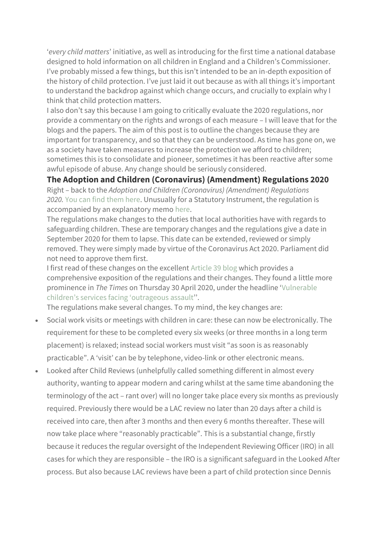'*every child matters*' initiative, as well as introducing for the first time a national database designed to hold information on all children in England and a Children's Commissioner. I've probably missed a few things, but this isn't intended to be an in-depth exposition of the history of child protection. I've just laid it out because as with all things it's important to understand the backdrop against which change occurs, and crucially to explain why I think that child protection matters.

I also don't say this because I am going to critically evaluate the 2020 regulations, nor provide a commentary on the rights and wrongs of each measure – I will leave that for the blogs and the papers. The aim of this post is to outline the changes because they are important for transparency, and so that they can be understood. As time has gone on, we as a society have taken measures to increase the protection we afford to children; sometimes this is to consolidate and pioneer, sometimes it has been reactive after some awful episode of abuse. Any change should be seriously considered.

**The Adoption and Children (Coronavirus) (Amendment) Regulations 2020**

Right – back to the *Adoption and Children (Coronavirus) (Amendment) Regulations 2020.* You can find [them](http://www.legislation.gov.uk/uksi/2020/445/contents/made) here. Unusually for a Statutory Instrument, the regulation is accompanied by an explanatory memo [here.](http://www.legislation.gov.uk/uksi/2020/445/pdfs/uksiem_20200445_en.pdf)

The regulations make changes to the duties that local authorities have with regards to safeguarding children. These are temporary changes and the regulations give a date in September 2020 for them to lapse. This date can be extended, reviewed or simply removed. They were simply made by virtue of the Coronavirus Act 2020. Parliament did not need to approve them first.

I first read of these changes on the excellent [Article](https://article39.org.uk/2020/04/23/ministers-use-covid-19-to-destroy-childrens-safeguards/) 39 blog which provides a comprehensive exposition of the regulations and their changes. They found a little more prominence in *The Times* on Thursday 30 April 2020, under the headline '[Vulnerable](https://www.thetimes.co.uk/article/vulnerable-childrens-services-facing-outrageous-assault-vbzdr0ht5) children's services facing ['outrageous](https://www.thetimes.co.uk/article/vulnerable-childrens-services-facing-outrageous-assault-vbzdr0ht5) assault''.

The regulations make several changes. To my mind, the key changes are:

- Social work visits or meetings with children in care: these can now be electronically. The requirement for these to be completed every six weeks (or three months in a long term placement) is relaxed; instead social workers must visit "as soon is as reasonably practicable". A 'visit' can be by telephone, video-link or other electronic means.
- Looked after Child Reviews (unhelpfully called something different in almost every authority, wanting to appear modern and caring whilst at the same time abandoning the terminology of the act – rant over) will no longer take place every six months as previously required. Previously there would be a LAC review no later than 20 days after a child is received into care, then after 3 months and then every 6 months thereafter. These will now take place where "reasonably practicable". This is a substantial change, firstly because it reduces the regular oversight of the Independent Reviewing Officer (IRO) in all cases for which they are responsible – the IRO is a significant safeguard in the Looked After process. But also because LAC reviews have been a part of child protection since Dennis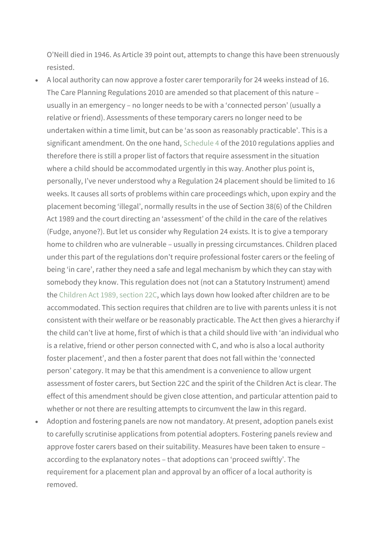O'Neill died in 1946. As Article 39 point out, attempts to change this have been strenuously resisted.

- A local authority can now approve a foster carer temporarily for 24 weeks instead of 16. The Care Planning Regulations 2010 are amended so that placement of this nature – usually in an emergency – no longer needs to be with a 'connected person' (usually a relative or friend). Assessments of these temporary carers no longer need to be undertaken within a time limit, but can be 'as soon as reasonably practicable'. This is a significant amendment. On the one hand, [Schedule](http://www.legislation.gov.uk/uksi/2010/959/schedule/4/made) 4 of the 2010 regulations applies and therefore there is still a proper list of factors that require assessment in the situation where a child should be accommodated urgently in this way. Another plus point is, personally, I've never understood why a Regulation 24 placement should be limited to 16 weeks. It causes all sorts of problems within care proceedings which, upon expiry and the placement becoming 'illegal', normally results in the use of Section 38(6) of the Children Act 1989 and the court directing an 'assessment' of the child in the care of the relatives (Fudge, anyone?). But let us consider why Regulation 24 exists. It is to give a temporary home to children who are vulnerable – usually in pressing circumstances. Children placed under this part of the regulations don't require professional foster carers or the feeling of being 'in care', rather they need a safe and legal mechanism by which they can stay with somebody they know. This regulation does not (not can a Statutory Instrument) amend the [Children](http://www.legislation.gov.uk/ukpga/1989/41/section/22C) Act 1989, section 22C, which lays down how looked after children are to be accommodated. This section requires that children are to live with parents unless it is not consistent with their welfare or be reasonably practicable. The Act then gives a hierarchy if the child can't live at home, first of which is that a child should live with 'an individual who is a relative, friend or other person connected with C, and who is also a local authority foster placement', and then a foster parent that does not fall within the 'connected person' category. It may be that this amendment is a convenience to allow urgent assessment of foster carers, but Section 22C and the spirit of the Children Act is clear. The effect of this amendment should be given close attention, and particular attention paid to whether or not there are resulting attempts to circumvent the law in this regard.
- Adoption and fostering panels are now not mandatory. At present, adoption panels exist to carefully scrutinise applications from potential adopters. Fostering panels review and approve foster carers based on their suitability. Measures have been taken to ensure – according to the explanatory notes – that adoptions can 'proceed swiftly'. The requirement for a placement plan and approval by an officer of a local authority is removed.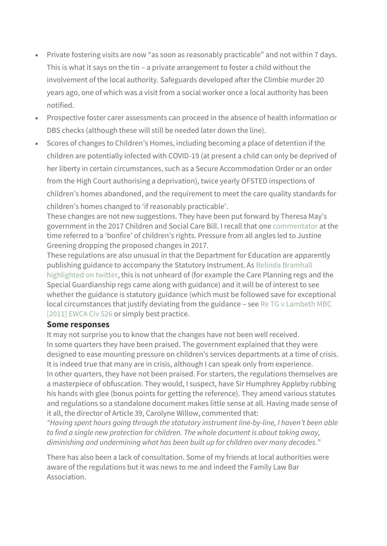- Private fostering visits are now "as soon as reasonably practicable" and not within 7 days. This is what it says on the tin – a private arrangement to foster a child without the involvement of the local authority. Safeguards developed after the Climbie murder 20 years ago, one of which was a visit from a social worker once a local authority has been notified.
- Prospective foster carer assessments can proceed in the absence of health information or DBS checks (although these will still be needed later down the line).
- Scores of changes to Children's Homes, including becoming a place of detention if the children are potentially infected with COVID-19 (at present a child can only be deprived of her liberty in certain circumstances, such as a Secure Accommodation Order or an order from the High Court authorising a deprivation), twice yearly OFSTED inspections of children's homes abandoned, and the requirement to meet the care quality standards for children's homes changed to 'if reasonably practicable'.

These changes are not new suggestions. They have been put forward by Theresa May's government in the 2017 Children and Social Care Bill. I recall that one [commentator](https://www.communitycare.co.uk/2016/10/13/scrapping-red-tape-safeguards-fight-future-childrens-services/) at the time referred to a 'bonfire' of children's rights. Pressure from all angles led to Justine Greening dropping the proposed changes in 2017.

These regulations are also unusual in that the Department for Education are apparently publishing guidance to accompany the Statutory Instrument. As Belinda [Bramhall](https://twitter.com/belindabramhall/status/1256628571642245123?s=21) [highlighted](https://twitter.com/belindabramhall/status/1256628571642245123?s=21) on twitter, this is not unheard of (for example the Care Planning regs and the Special Guardianship regs came along with guidance) and it will be of interest to see whether the guidance is statutory guidance (which must be followed save for exceptional local circumstances that justify deviating from the guidance – see Re TG v [Lambeth](https://www.familylawweek.co.uk/site.aspx?i=ed83394) MBC [\[2011\]](https://www.familylawweek.co.uk/site.aspx?i=ed83394) EWCA Civ 526 or simply best practice.

#### **Some responses**

It may not surprise you to know that the changes have not been well received. In some quarters they have been praised. The government explained that they were designed to ease mounting pressure on children's services departments at a time of crisis. It is indeed true that many are in crisis, although I can speak only from experience. In other quarters, they have not been praised. For starters, the regulations themselves are a masterpiece of obfuscation. They would, I suspect, have Sir Humphrey Appleby rubbing his hands with glee (bonus points for getting the reference). They amend various statutes

and regulations so a standalone document makes little sense at all. Having made sense of it all, the director of Article 39, Carolyne Willow, commented that:

*"Having spent hours going through the statutory instrument line-by-line, I haven't been able to find a single new protection for children. The whole document is about taking away, diminishing and undermining what has been built up for children over many decades."*

There has also been a lack of consultation. Some of my friends at local authorities were aware of the regulations but it was news to me and indeed the Family Law Bar Association.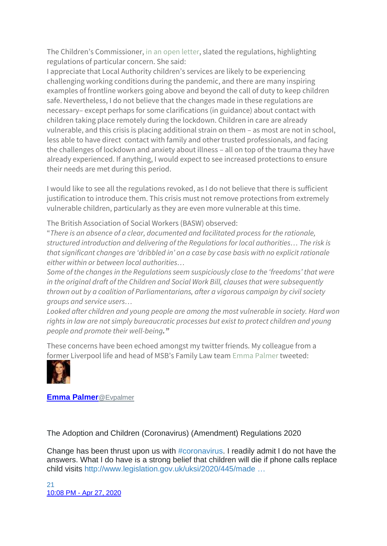The Children's Commissioner, in an open [letter,](https://www.childrenscommissioner.gov.uk/2020/04/30/statement-on-changes-to-regulations-affecting-childrens-social-care/) slated the regulations, highlighting regulations of particular concern. She said:

I appreciate that Local Authority children's services are likely to be experiencing challenging working conditions during the pandemic, and there are many inspiring examples of frontline workers going above and beyond the call of duty to keep children safe. Nevertheless, I do not believe that the changes made in these regulations are necessary– except perhaps for some clarifications (in guidance) about contact with children taking place remotely during the lockdown. Children in care are already vulnerable, and this crisis is placing additional strain on them – as most are not in school, less able to have direct contact with family and other trusted professionals, and facing the challenges of lockdown and anxiety about illness – all on top of the trauma they have already experienced. If anything, I would expect to see increased protections to ensure their needs are met during this period.

I would like to see all the regulations revoked, as I do not believe that there is sufficient justification to introduce them. This crisis must not remove protections from extremely vulnerable children, particularly as they are even more vulnerable at this time.

The British Association of Social Workers (BASW) observed:

"*There is an absence of a clear, documented and facilitated process for the rationale, structured introduction and delivering of the Regulations for local authorities… The risk is that significant changes are 'dribbled in' on a case by case basis with no explicit rationale either within or between local authorities…*

*Some of the changes in the Regulations seem suspiciously close to the 'freedoms' that were in the original draft of the Children and Social Work Bill, clauses that were subsequently thrown out by a coalition of Parliamentarians, after a vigorous campaign by civil society groups and service users…*

*Looked after children and young people are among the most vulnerable in society. Hard won rights in law are not simply bureaucratic processes but exist to protect children and young people and promote their well-being."*

These concerns have been echoed amongst my twitter friends. My colleague from a former Liverpool life and head of MSB's Family Law team Emma [Palmer](https://twitter.com/Evpalmer) tweeted:



**[Emma Palmer](https://twitter.com/Evpalmer)**@Evpalmer

The Adoption and Children (Coronavirus) (Amendment) Regulations 2020

Change has been thrust upon us with [#coronavirus.](https://twitter.com/hashtag/coronavirus?src=hash) I readily admit I do not have the answers. What I do have is a strong belief that children will die if phone calls replace child visits [http://www.legislation.gov.uk/uksi/2020/445/made](https://t.co/iq7u0RksDM) …

[21](https://twitter.com/intent/like?tweet_id=1254880106419552259) 10:08 PM - [Apr 27, 2020](https://twitter.com/Evpalmer/status/1254880106419552259)